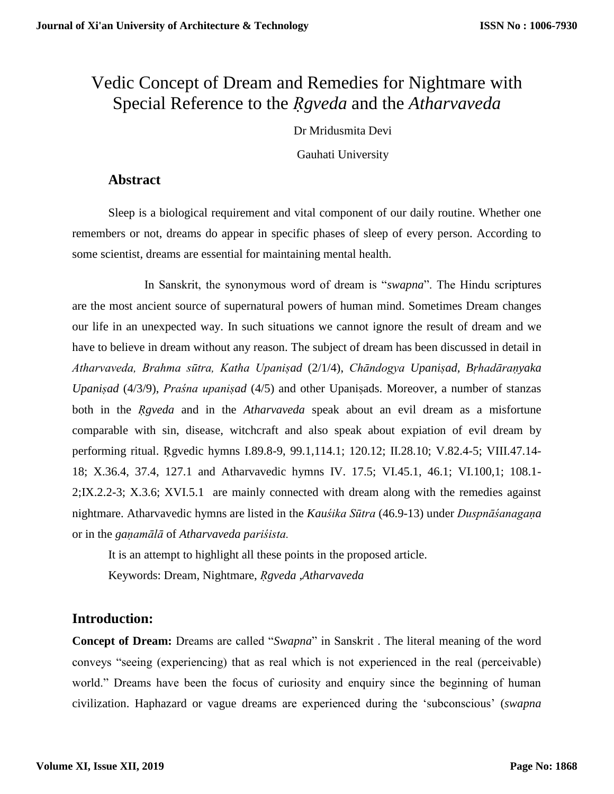# Vedic Concept of Dream and Remedies for Nightmare with Special Reference to the *Ṛgveda* and the *Atharvaveda*

Dr Mridusmita Devi Gauhati University

### **Abstract**

Sleep is a biological requirement and vital component of our daily routine. Whether one remembers or not, dreams do appear in specific phases of sleep of every person. According to some scientist, dreams are essential for maintaining mental health.

In Sanskrit, the synonymous word of dream is "*swapna*". The Hindu scriptures are the most ancient source of supernatural powers of human mind. Sometimes Dream changes our life in an unexpected way. In such situations we cannot ignore the result of dream and we have to believe in dream without any reason. The subject of dream has been discussed in detail in *Atharvaveda, Brahma sūtra, Katha Upaniṣad* (2/1/4), *Chāndogya Upaniṣad, Bṛhadāraṇyaka Upaniṣad* (4/3/9), *Praśna upaniṣad* (4/5) and other Upaniṣads. Moreover, a number of stanzas both in the *Ṛgveda* and in the *Atharvaveda* speak about an evil dream as a misfortune comparable with sin, disease, witchcraft and also speak about expiation of evil dream by performing ritual. Ṛgvedic hymns I.89.8-9, 99.1,114.1; 120.12; II.28.10; V.82.4-5; VIII.47.14- 18; X.36.4, 37.4, 127.1 and Atharvavedic hymns IV. 17.5; VI.45.1, 46.1; VI.100,1; 108.1- 2;IX.2.2-3; X.3.6; XVI.5.1 are mainly connected with dream along with the remedies against nightmare. Atharvavedic hymns are listed in the *Kauśika Sūtra* (46.9-13) under *Duspnāśanagaṇa* or in the *gaṇamālā* of *Atharvaveda pariśista.*

It is an attempt to highlight all these points in the proposed article.

Keywords: Dream, Nightmare, *Ṛgveda* ,*Atharvaveda*

## **Introduction:**

**Concept of Dream:** Dreams are called "*Swapna*" in Sanskrit . The literal meaning of the word conveys "seeing (experiencing) that as real which is not experienced in the real (perceivable) world." Dreams have been the focus of curiosity and enquiry since the beginning of human civilization. Haphazard or vague dreams are experienced during the 'subconscious' (*swapna*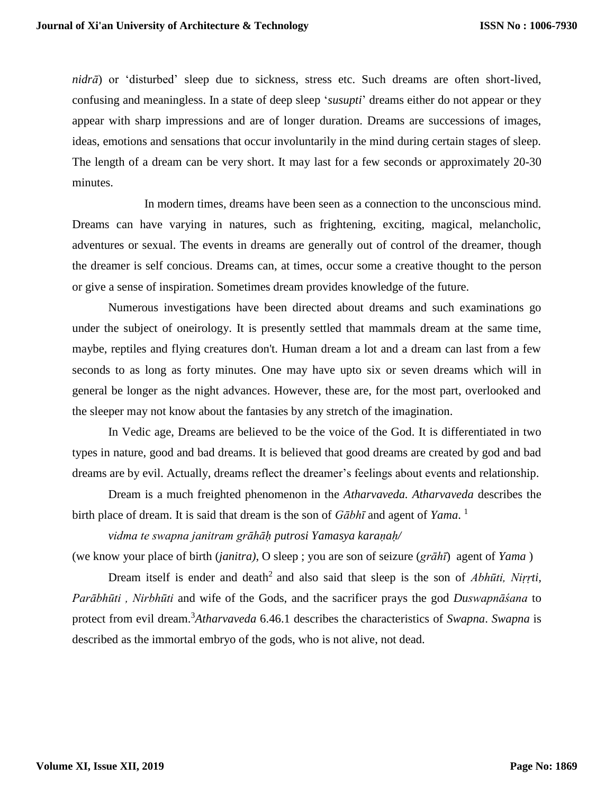*nidrā*) or 'disturbed' sleep due to sickness, stress etc. Such dreams are often short-lived, confusing and meaningless. In a state of deep sleep '*susupti*' dreams either do not appear or they appear with sharp impressions and are of longer duration. Dreams are successions of images, ideas, emotions and sensations that occur involuntarily in the mind during certain stages of sleep. The length of a dream can be very short. It may last for a few seconds or approximately 20-30 minutes.

In modern times, dreams have been seen as a connection to the unconscious mind. Dreams can have varying in natures, such as frightening, exciting, magical, melancholic, adventures or sexual. The events in dreams are generally out of control of the dreamer, though the dreamer is self concious. Dreams can, at times, occur some a creative thought to the person or give a sense of inspiration. Sometimes dream provides knowledge of the future.

Numerous investigations have been directed about dreams and such examinations go under the subject of oneirology. It is presently settled that mammals dream at the same time, maybe, reptiles and flying creatures don't. Human dream a lot and a dream can last from a few seconds to as long as forty minutes. One may have upto six or seven dreams which will in general be longer as the night advances. However, these are, for the most part, overlooked and the sleeper may not know about the fantasies by any stretch of the imagination.

In Vedic age, Dreams are believed to be the voice of the God. It is differentiated in two types in nature, good and bad dreams. It is believed that good dreams are created by god and bad dreams are by evil. Actually, dreams reflect the dreamer's feelings about events and relationship.

Dream is a much freighted phenomenon in the *Atharvaveda. Atharvaveda* describes the birth place of dream. It is said that dream is the son of *Gābhī* and agent of *Yama*. 1

*vidma te swapna janitram grāhāḥ putrosi Yamasya karaṇaḥ/* 

(we know your place of birth (*janitra)*, O sleep ; you are son of seizure (*grāhī*) agent of *Yama* )

Dream itself is ender and death<sup>2</sup> and also said that sleep is the son of *Abhūti, Niṛrti, Parābhūti , Nirbhūti* and wife of the Gods, and the sacrificer prays the god *Duswapnāśana* to protect from evil dream.<sup>3</sup>*Atharvaveda* 6.46.1 describes the characteristics of *Swapna*. *Swapna* is described as the immortal embryo of the gods, who is not alive, not dead.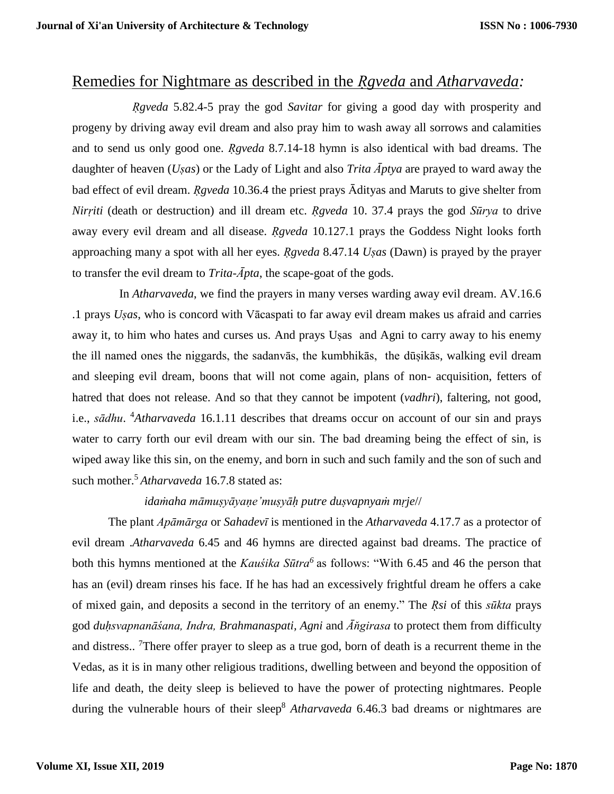# Remedies for Nightmare as described in the *Ṛgveda* and *Atharvaveda:*

 *Ṛgveda* 5.82.4-5 pray the god *Savitar* for giving a good day with prosperity and progeny by driving away evil dream and also pray him to wash away all sorrows and calamities and to send us only good one. *Ṛgveda* 8.7.14-18 hymn is also identical with bad dreams. The daughter of heaven (*Uṣas*) or the Lady of Light and also *Trita Āptya* are prayed to ward away the bad effect of evil dream. *Rgveda* 10.36.4 the priest prays  $\overline{A}$ dityas and Maruts to give shelter from *Nirṛiti* (death or destruction) and ill dream etc. *Ṛgveda* 10. 37.4 prays the god *Sūrya* to drive away every evil dream and all disease. *Ṛgveda* 10.127.1 prays the Goddess Night looks forth approaching many a spot with all her eyes. *Ṛgveda* 8.47.14 *Uṣas* (Dawn) is prayed by the prayer to transfer the evil dream to *Trita-* $\bar{A}$ *pta*, the scape-goat of the gods.

In *Atharvaveda*, we find the prayers in many verses warding away evil dream. AV.16.6 .1 prays *Uṣas*, who is concord with Vācaspati to far away evil dream makes us afraid and carries away it, to him who hates and curses us. And prays Uṣas and Agni to carry away to his enemy the ill named ones the niggards, the sadanvās, the kumbhikās, the dūṣikās, walking evil dream and sleeping evil dream, boons that will not come again, plans of non- acquisition, fetters of hatred that does not release. And so that they cannot be impotent (*vadhri*), faltering, not good, i.e., *sādhu*. <sup>4</sup>*Atharvaveda* 16.1.11 describes that dreams occur on account of our sin and prays water to carry forth our evil dream with our sin. The bad dreaming being the effect of sin, is wiped away like this sin, on the enemy, and born in such and such family and the son of such and such mother. <sup>5</sup> *Atharvaveda* 16.7.8 stated as:

### *idaṁaha māmuṣyāyaṇe'muṣyāḥ putre duṣvapnyaṁ mṛje*//

The plant *Apāmārga* or *Sahadevī* is mentioned in the *Atharvaveda* 4.17.7 as a protector of evil dream .*Atharvaveda* 6.45 and 46 hymns are directed against bad dreams. The practice of both this hymns mentioned at the *Kauśika Sūtra<sup>6</sup>* as follows: "With 6.45 and 46 the person that has an (evil) dream rinses his face. If he has had an excessively frightful dream he offers a cake of mixed gain, and deposits a second in the territory of an enemy." The *Ṛsi* of this *sūkta* prays god *duḥsvapnanāśana, Indra, Brahmanaspati, Agni* and *Ᾱňgirasa* to protect them from difficulty and distress..<sup>7</sup>There offer prayer to sleep as a true god, born of death is a recurrent theme in the Vedas, as it is in many other religious traditions, dwelling between and beyond the opposition of life and death, the deity sleep is believed to have the power of protecting nightmares. People during the vulnerable hours of their sleep<sup>8</sup> *Atharvaveda* 6.46.3 bad dreams or nightmares are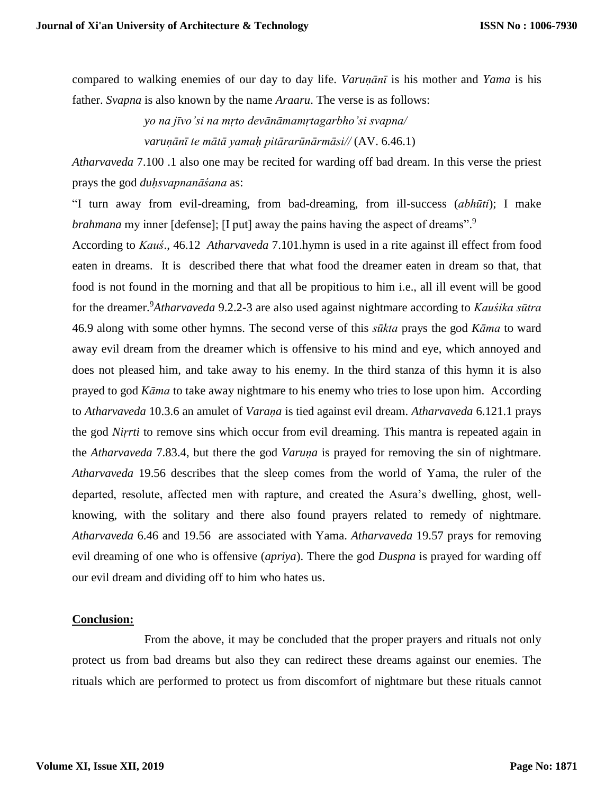compared to walking enemies of our day to day life. *Varuṇānī* is his mother and *Yama* is his father. *Svapna* is also known by the name *Araaru*. The verse is as follows:

> *yo na jīvo'si na mṛto devānāmamṛtagarbho'si svapna/ varuṇānī te mātā yamaḥ pitārarūnārmāsi//* (AV. 6.46.1)

*Atharvaveda* 7.100 .1 also one may be recited for warding off bad dream. In this verse the priest prays the god *duḥsvapnanāśana* as:

"I turn away from evil-dreaming, from bad-dreaming, from ill-success (*abhūti*); I make *brahmana* my inner [defense]; [I put] away the pains having the aspect of dreams".<sup>9</sup>

According to *Kauś*., 46.12 *Atharvaveda* 7.101.hymn is used in a rite against ill effect from food eaten in dreams. It is described there that what food the dreamer eaten in dream so that, that food is not found in the morning and that all be propitious to him i.e., all ill event will be good for the dreamer.<sup>9</sup>*Atharvaveda* 9.2.2-3 are also used against nightmare according to *Kauśika sūtra* 46.9 along with some other hymns. The second verse of this *sūkta* prays the god *Kāma* to ward away evil dream from the dreamer which is offensive to his mind and eye, which annoyed and does not pleased him, and take away to his enemy. In the third stanza of this hymn it is also prayed to god *Kāma* to take away nightmare to his enemy who tries to lose upon him. According to *Atharvaveda* 10.3.6 an amulet of *Varaṇa* is tied against evil dream. *Atharvaveda* 6.121.1 prays the god *Niṛrti* to remove sins which occur from evil dreaming. This mantra is repeated again in the *Atharvaveda* 7.83.4, but there the god *Varuṇa* is prayed for removing the sin of nightmare. *Atharvaveda* 19.56 describes that the sleep comes from the world of Yama, the ruler of the departed, resolute, affected men with rapture, and created the Asura's dwelling, ghost, wellknowing, with the solitary and there also found prayers related to remedy of nightmare. *Atharvaveda* 6.46 and 19.56 are associated with Yama. *Atharvaveda* 19.57 prays for removing evil dreaming of one who is offensive (*apriya*). There the god *Duspna* is prayed for warding off our evil dream and dividing off to him who hates us.

#### **Conclusion:**

 From the above, it may be concluded that the proper prayers and rituals not only protect us from bad dreams but also they can redirect these dreams against our enemies. The rituals which are performed to protect us from discomfort of nightmare but these rituals cannot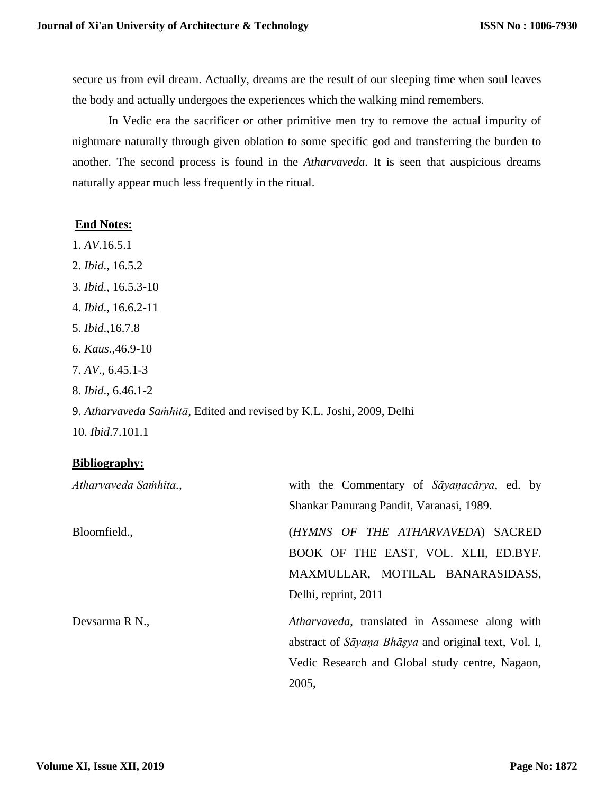secure us from evil dream. Actually, dreams are the result of our sleeping time when soul leaves the body and actually undergoes the experiences which the walking mind remembers.

In Vedic era the sacrificer or other primitive men try to remove the actual impurity of nightmare naturally through given oblation to some specific god and transferring the burden to another. The second process is found in the *Atharvaveda*. It is seen that auspicious dreams naturally appear much less frequently in the ritual.

#### **End Notes:**

- 1. *AV*.16.5.1
- 2. *Ibid*., 16.5.2
- 3. *Ibid*., 16.5.3-10
- 4. *Ibid*., 16.6.2-11
- 5. *Ibid*.,16.7.8
- 6. *Kaus*.,46.9-10
- 7. *AV*., 6.45.1-3
- 8. *Ibid*., 6.46.1-2
- 9. *Atharvaveda Saṁhitā*, Edited and revised by K.L. Joshi, 2009, Delhi
- 10. *Ibid*.7.101.1

### **Bibliography:**

| Atharvaveda Samhita., | with the Commentary of Sayanacarya, ed. by           |
|-----------------------|------------------------------------------------------|
|                       | Shankar Panurang Pandit, Varanasi, 1989.             |
| Bloomfield.,          | (HYMNS OF THE ATHARVAVEDA) SACRED                    |
|                       | BOOK OF THE EAST, VOL. XLII, ED.BYF.                 |
|                       | MAXMULLAR, MOTILAL BANARASIDASS,                     |
|                       | Delhi, reprint, 2011                                 |
| Devsarma R N.,        | Atharvaveda, translated in Assamese along with       |
|                       | abstract of Sāyana Bhāşya and original text, Vol. I, |
|                       | Vedic Research and Global study centre, Nagaon,      |
|                       | 2005,                                                |